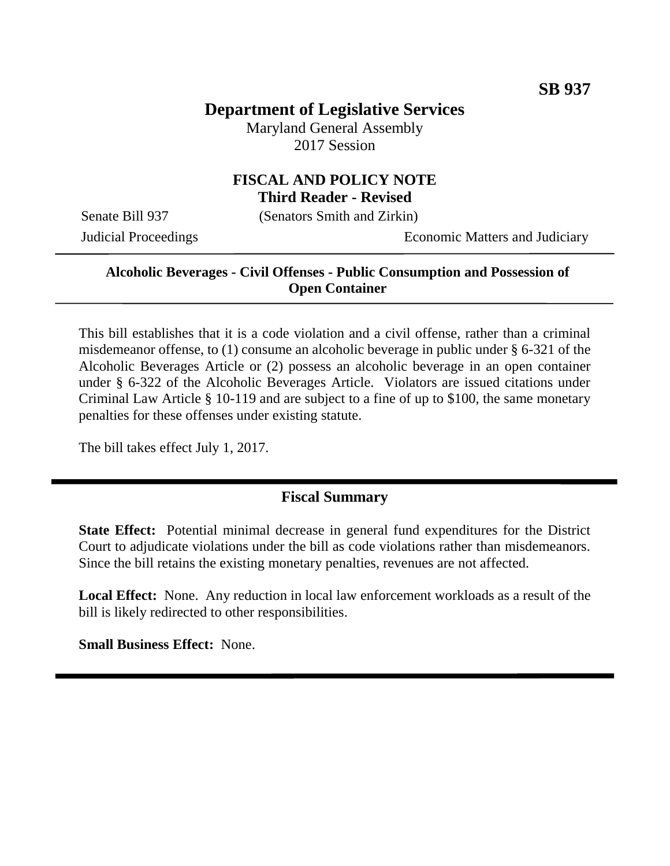# **Department of Legislative Services**

Maryland General Assembly 2017 Session

### **FISCAL AND POLICY NOTE Third Reader - Revised**

Senate Bill 937 (Senators Smith and Zirkin)

Judicial Proceedings Economic Matters and Judiciary

### **Alcoholic Beverages - Civil Offenses - Public Consumption and Possession of Open Container**

This bill establishes that it is a code violation and a civil offense, rather than a criminal misdemeanor offense, to (1) consume an alcoholic beverage in public under § 6-321 of the Alcoholic Beverages Article or (2) possess an alcoholic beverage in an open container under § 6-322 of the Alcoholic Beverages Article. Violators are issued citations under Criminal Law Article § 10-119 and are subject to a fine of up to \$100, the same monetary penalties for these offenses under existing statute.

The bill takes effect July 1, 2017.

### **Fiscal Summary**

**State Effect:** Potential minimal decrease in general fund expenditures for the District Court to adjudicate violations under the bill as code violations rather than misdemeanors. Since the bill retains the existing monetary penalties, revenues are not affected.

**Local Effect:** None. Any reduction in local law enforcement workloads as a result of the bill is likely redirected to other responsibilities.

**Small Business Effect:** None.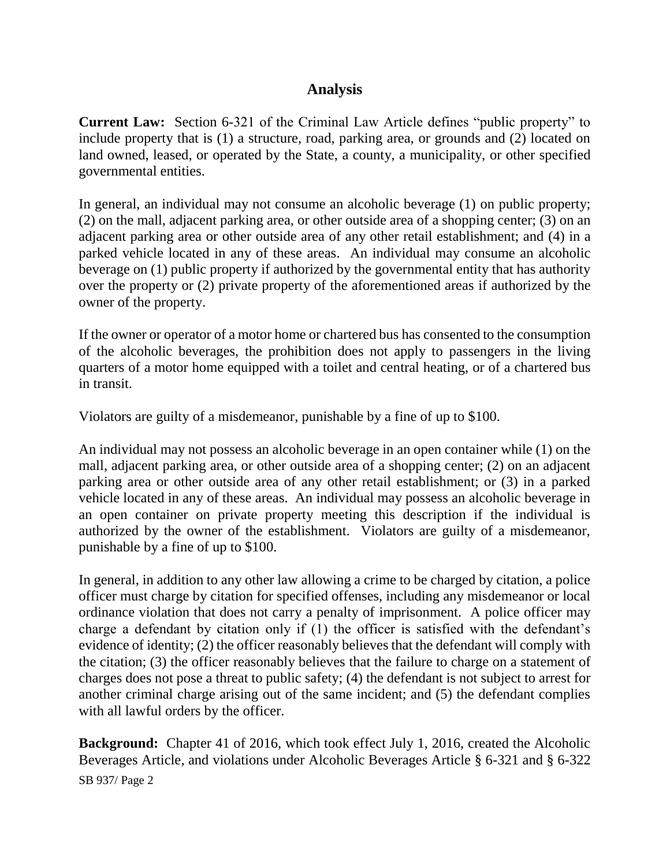## **Analysis**

**Current Law:** Section 6-321 of the Criminal Law Article defines "public property" to include property that is (1) a structure, road, parking area, or grounds and (2) located on land owned, leased, or operated by the State, a county, a municipality, or other specified governmental entities.

In general, an individual may not consume an alcoholic beverage (1) on public property; (2) on the mall, adjacent parking area, or other outside area of a shopping center; (3) on an adjacent parking area or other outside area of any other retail establishment; and (4) in a parked vehicle located in any of these areas. An individual may consume an alcoholic beverage on (1) public property if authorized by the governmental entity that has authority over the property or (2) private property of the aforementioned areas if authorized by the owner of the property.

If the owner or operator of a motor home or chartered bus has consented to the consumption of the alcoholic beverages, the prohibition does not apply to passengers in the living quarters of a motor home equipped with a toilet and central heating, or of a chartered bus in transit.

Violators are guilty of a misdemeanor, punishable by a fine of up to \$100.

An individual may not possess an alcoholic beverage in an open container while (1) on the mall, adjacent parking area, or other outside area of a shopping center; (2) on an adjacent parking area or other outside area of any other retail establishment; or (3) in a parked vehicle located in any of these areas. An individual may possess an alcoholic beverage in an open container on private property meeting this description if the individual is authorized by the owner of the establishment. Violators are guilty of a misdemeanor, punishable by a fine of up to \$100.

In general, in addition to any other law allowing a crime to be charged by citation, a police officer must charge by citation for specified offenses, including any misdemeanor or local ordinance violation that does not carry a penalty of imprisonment. A police officer may charge a defendant by citation only if (1) the officer is satisfied with the defendant's evidence of identity; (2) the officer reasonably believes that the defendant will comply with the citation; (3) the officer reasonably believes that the failure to charge on a statement of charges does not pose a threat to public safety; (4) the defendant is not subject to arrest for another criminal charge arising out of the same incident; and (5) the defendant complies with all lawful orders by the officer.

**Background:** Chapter 41 of 2016, which took effect July 1, 2016, created the Alcoholic Beverages Article, and violations under Alcoholic Beverages Article § 6-321 and § 6-322

SB 937/ Page 2